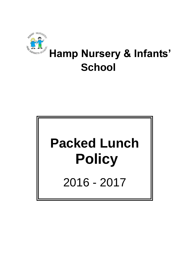

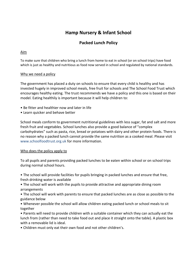# **Hamp Nursery & Infant School**

# **Packed Lunch Policy**

## Aim

To make sure that children who bring a lunch from home to eat in school (or on school trips) have food which is just as healthy and nutritious as food now served in school and regulated by national standards.

### Why we need a policy

The government has placed a duty on schools to ensure that every child is healthy and has invested hugely in improved school meals, free fruit for schools and The School Food Trust which encourages healthy eating. The trust recommends we have a policy and this one is based on their model. Eating healthily is important because it will help children to:

- Be fitter and healthier now and later in life
- Learn quicker and behave better

School meals conform to government nutritional guidelines with less sugar, fat and salt and more fresh fruit and vegetables. School lunches also provide a good balance of "complex carbohydrates" such as pasta, rice, bread or potatoes with dairy and other protein foods. There is no reason why a packed lunch cannot provide the same nutrition as a cooked meal. Please visit www.schoolfoodtrust.org.uk for more information.

### Who does the policy apply to

To all pupils and parents providing packed lunches to be eaten within school or on school trips during normal school hours.

• The school will provide facilities for pupils bringing in packed lunches and ensure that free, fresh drinking water is available

• The school will work with the pupils to provide attractive and appropriate dining room arrangements

• The school will work with parents to ensure that packed lunches are as close as possible to the guidance below

• Whenever possible the school will allow children eating packed lunch or school meals to sit together

• Parents will need to provide children with a suitable container which they can actually eat the lunch from (rather than need to take food out and place it straight onto the table). A plastic box with a removable lid is ideal.

• Children must only eat their own food and not other children's.